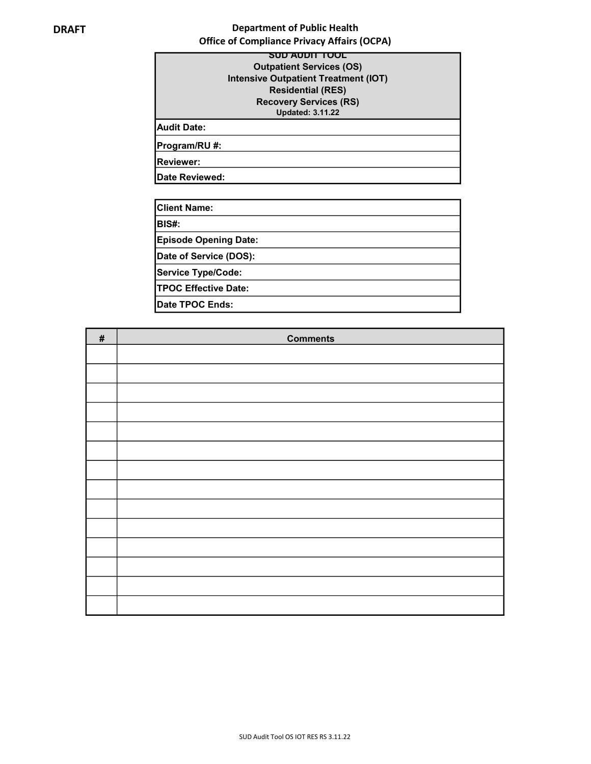# DRAFT DRAFT Department of Public Health Office of Compliance Privacy Affairs (OCPA)

|                    | SUD AUDIT TOOL                              |
|--------------------|---------------------------------------------|
|                    | <b>Outpatient Services (OS)</b>             |
|                    | <b>Intensive Outpatient Treatment (IOT)</b> |
|                    | <b>Residential (RES)</b>                    |
|                    | <b>Recovery Services (RS)</b>               |
|                    | <b>Updated: 3.11.22</b>                     |
| <b>Audit Date:</b> |                                             |
| Program/RU #:      |                                             |
| Reviewer:          |                                             |
| Date Reviewed:     |                                             |

| <b>Client Name:</b>          |  |
|------------------------------|--|
| BIS#:                        |  |
| <b>Episode Opening Date:</b> |  |
| Date of Service (DOS):       |  |
| Service Type/Code:           |  |
| <b>TPOC Effective Date:</b>  |  |
| Date TPOC Ends:              |  |

| $\#$ | <b>Comments</b> |
|------|-----------------|
|      |                 |
|      |                 |
|      |                 |
|      |                 |
|      |                 |
|      |                 |
|      |                 |
|      |                 |
|      |                 |
|      |                 |
|      |                 |
|      |                 |
|      |                 |
|      |                 |
|      |                 |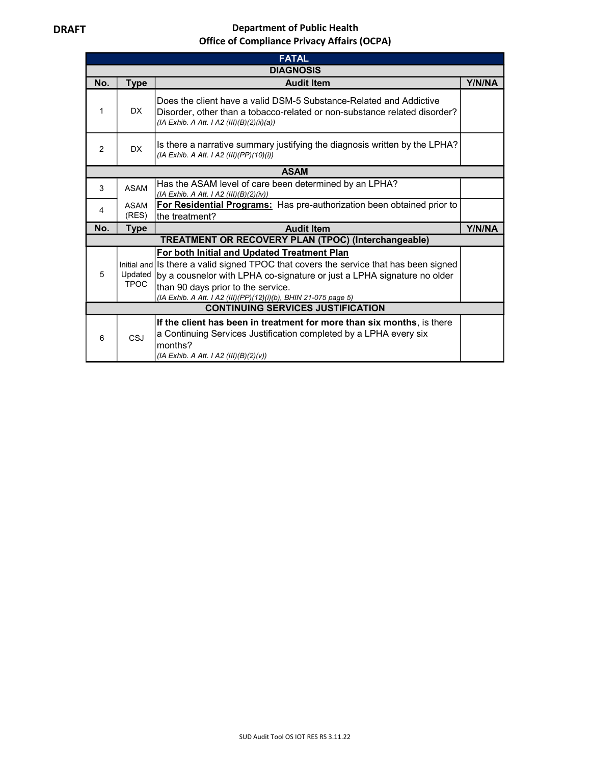# DRAFT DRAFT Department of Public Health Office of Compliance Privacy Affairs (OCPA)

| <b>FATAL</b>     |                                                                                                                                                                                                      |                                                                                                                                                                                                                                                                                                                          |  |  |  |
|------------------|------------------------------------------------------------------------------------------------------------------------------------------------------------------------------------------------------|--------------------------------------------------------------------------------------------------------------------------------------------------------------------------------------------------------------------------------------------------------------------------------------------------------------------------|--|--|--|
| <b>DIAGNOSIS</b> |                                                                                                                                                                                                      |                                                                                                                                                                                                                                                                                                                          |  |  |  |
| No.              | <b>Type</b><br><b>Audit Item</b>                                                                                                                                                                     |                                                                                                                                                                                                                                                                                                                          |  |  |  |
| 1                | Does the client have a valid DSM-5 Substance-Related and Addictive<br>DX.<br>Disorder, other than a tobacco-related or non-substance related disorder?<br>(IA Exhib. A Att. I A2 (III)(B)(2)(ii)(a)) |                                                                                                                                                                                                                                                                                                                          |  |  |  |
| $\mathfrak{p}$   | Is there a narrative summary justifying the diagnosis written by the LPHA?<br>DX.<br>(IA Exhib. A Att. I A2 (III)(PP)(10)(i))                                                                        |                                                                                                                                                                                                                                                                                                                          |  |  |  |
|                  | <b>ASAM</b>                                                                                                                                                                                          |                                                                                                                                                                                                                                                                                                                          |  |  |  |
| 3                | Has the ASAM level of care been determined by an LPHA?<br><b>ASAM</b><br>(IA Exhib. A Att. I A2 (III)(B)(2)(iv))                                                                                     |                                                                                                                                                                                                                                                                                                                          |  |  |  |
| 4                | ASAM<br>(RES)                                                                                                                                                                                        | For Residential Programs: Has pre-authorization been obtained prior to<br>the treatment?                                                                                                                                                                                                                                 |  |  |  |
| No.              | <b>Type</b>                                                                                                                                                                                          | <b>Audit Item</b>                                                                                                                                                                                                                                                                                                        |  |  |  |
|                  |                                                                                                                                                                                                      | <b>TREATMENT OR RECOVERY PLAN (TPOC) (Interchangeable)</b>                                                                                                                                                                                                                                                               |  |  |  |
| 5                | Updated<br><b>TPOC</b>                                                                                                                                                                               | For both Initial and Updated Treatment Plan<br>Initial and Is there a valid signed TPOC that covers the service that has been signed<br>by a cousnelor with LPHA co-signature or just a LPHA signature no older<br>than 90 days prior to the service.<br>(IA Exhib. A Att. I A2 (III)(PP)(12)(i)(b), BHIN 21-075 page 5) |  |  |  |
|                  | <b>CONTINUING SERVICES JUSTIFICATION</b>                                                                                                                                                             |                                                                                                                                                                                                                                                                                                                          |  |  |  |
| <b>CSJ</b><br>6  |                                                                                                                                                                                                      | If the client has been in treatment for more than six months, is there<br>a Continuing Services Justification completed by a LPHA every six<br>months?<br>(IA Exhib. A Att. I A2 (III)(B)(2)(v))                                                                                                                         |  |  |  |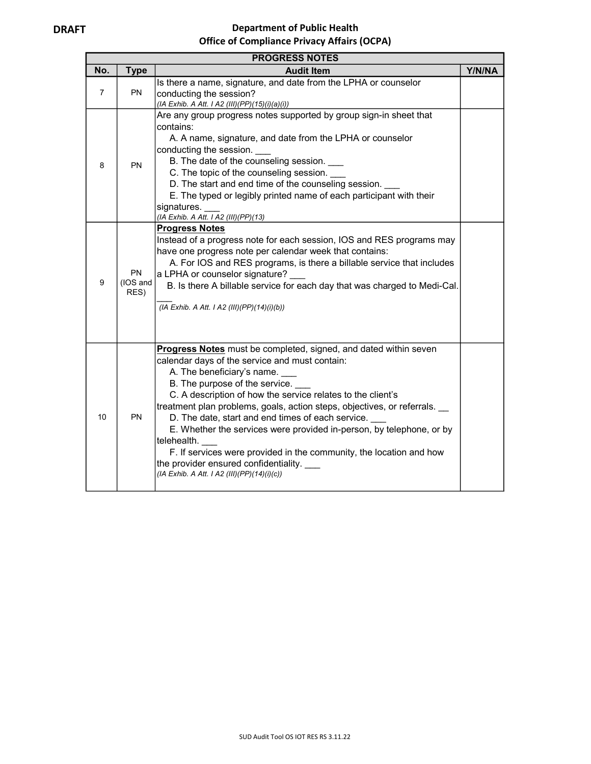# DRAFT DRAFT Department of Public Health Office of Compliance Privacy Affairs (OCPA)

| <b>PROGRESS NOTES</b>          |                                                                                                                                                           |                                                                                                                                                                                                                                                                                                                                                                                                                                                                                                                                                                                                                                 |  |  |  |
|--------------------------------|-----------------------------------------------------------------------------------------------------------------------------------------------------------|---------------------------------------------------------------------------------------------------------------------------------------------------------------------------------------------------------------------------------------------------------------------------------------------------------------------------------------------------------------------------------------------------------------------------------------------------------------------------------------------------------------------------------------------------------------------------------------------------------------------------------|--|--|--|
| No.                            | <b>Type</b>                                                                                                                                               | <b>Audit Item</b>                                                                                                                                                                                                                                                                                                                                                                                                                                                                                                                                                                                                               |  |  |  |
| $\overline{7}$                 | Is there a name, signature, and date from the LPHA or counselor<br><b>PN</b><br>conducting the session?<br>(IA Exhib. A Att. I A2 (III)(PP)(15)(i)(a)(i)) |                                                                                                                                                                                                                                                                                                                                                                                                                                                                                                                                                                                                                                 |  |  |  |
| 8                              | <b>PN</b>                                                                                                                                                 | Are any group progress notes supported by group sign-in sheet that<br>contains:<br>A. A name, signature, and date from the LPHA or counselor<br>conducting the session.<br>B. The date of the counseling session. ___<br>C. The topic of the counseling session.<br>D. The start and end time of the counseling session.<br>E. The typed or legibly printed name of each participant with their<br>signatures.<br>(IA Exhib. A Att. I A2 (III)(PP)(13)                                                                                                                                                                          |  |  |  |
| 9                              | <b>PN</b><br>(IOS and<br>RES)                                                                                                                             | <b>Progress Notes</b><br>Instead of a progress note for each session, IOS and RES programs may<br>have one progress note per calendar week that contains:<br>A. For IOS and RES programs, is there a billable service that includes<br>a LPHA or counselor signature?<br>B. Is there A billable service for each day that was charged to Medi-Cal.<br>(IA Exhib. A Att. I A2 (III)(PP)(14)(i)(b))                                                                                                                                                                                                                               |  |  |  |
| 10<br><b>PN</b><br>telehealth. |                                                                                                                                                           | <b>Progress Notes</b> must be completed, signed, and dated within seven<br>calendar days of the service and must contain:<br>A. The beneficiary's name.<br>B. The purpose of the service.<br>C. A description of how the service relates to the client's<br>treatment plan problems, goals, action steps, objectives, or referrals.<br>D. The date, start and end times of each service.<br>E. Whether the services were provided in-person, by telephone, or by<br>F. If services were provided in the community, the location and how<br>the provider ensured confidentiality.<br>(IA Exhib. A Att. I A2 (III)(PP)(14)(i)(c)) |  |  |  |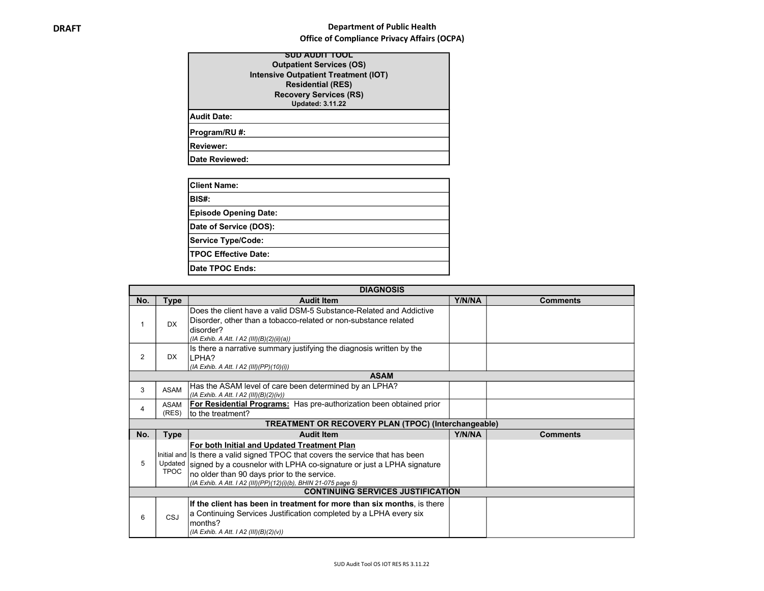### **DRAFT** DRAFT DRAFT DEPARTMENT DEPARTMENT DEPARTMENT DEPARTMENT OF PUblic Health Office of Compliance Privacy Affairs (OCPA)

| SUD AUDIT TOOL                              |
|---------------------------------------------|
| <b>Outpatient Services (OS)</b>             |
| <b>Intensive Outpatient Treatment (IOT)</b> |
| <b>Residential (RES)</b>                    |
| <b>Recovery Services (RS)</b>               |
| <b>Updated: 3.11.22</b>                     |
| Audit Date:                                 |
| Program/RU #:                               |
| <b>Reviewer:</b>                            |
| <b>IDate Reviewed:</b>                      |

| <b>Client Name:</b>          |  |
|------------------------------|--|
| BIS#:                        |  |
| <b>Episode Opening Date:</b> |  |
| Date of Service (DOS):       |  |
| <b>Service Type/Code:</b>    |  |
| <b>TPOC Effective Date:</b>  |  |
| Date TPOC Ends:              |  |

|     | <b>DIAGNOSIS</b>                         |                                                                                                                                                                                                                                                                                                                                  |        |                 |  |
|-----|------------------------------------------|----------------------------------------------------------------------------------------------------------------------------------------------------------------------------------------------------------------------------------------------------------------------------------------------------------------------------------|--------|-----------------|--|
| No. | Type                                     | <b>Audit Item</b>                                                                                                                                                                                                                                                                                                                | Y/N/NA | <b>Comments</b> |  |
|     | <b>DX</b>                                | Does the client have a valid DSM-5 Substance-Related and Addictive<br>Disorder, other than a tobacco-related or non-substance related<br>disorder?<br>(IA Exhib. A Att. I A2 (III)(B)(2)(ii)(a))                                                                                                                                 |        |                 |  |
| 2   | DX.                                      | Is there a narrative summary justifying the diagnosis written by the<br>ILPHA?<br>(IA Exhib. A Att. I A2 (III)(PP)(10)(i))                                                                                                                                                                                                       |        |                 |  |
|     | <b>ASAM</b>                              |                                                                                                                                                                                                                                                                                                                                  |        |                 |  |
| 3   | <b>ASAM</b>                              | Has the ASAM level of care been determined by an LPHA?<br>(IA Exhib. A Att. I A2 (III)(B)(2)(iv))                                                                                                                                                                                                                                |        |                 |  |
| 4   | <b>ASAM</b><br>(RES)                     | For Residential Programs: Has pre-authorization been obtained prior<br>Ito the treatment?                                                                                                                                                                                                                                        |        |                 |  |
|     |                                          | TREATMENT OR RECOVERY PLAN (TPOC) (Interchangeable)                                                                                                                                                                                                                                                                              |        |                 |  |
| No. | <b>Type</b>                              | <b>Audit Item</b>                                                                                                                                                                                                                                                                                                                | Y/N/NA | <b>Comments</b> |  |
| 5   | <b>TPOC</b>                              | For both Initial and Updated Treatment Plan<br>Initial and Is there a valid signed TPOC that covers the service that has been<br>Updated signed by a cousnelor with LPHA co-signature or just a LPHA signature<br>no older than 90 days prior to the service.<br>(IA Exhib. A Att. I A2 (III)(PP)(12)(i)(b), BHIN 21-075 page 5) |        |                 |  |
|     | <b>CONTINUING SERVICES JUSTIFICATION</b> |                                                                                                                                                                                                                                                                                                                                  |        |                 |  |
| 6   | CSJ                                      | If the client has been in treatment for more than six months, is there<br>a Continuing Services Justification completed by a LPHA every six<br>months?<br>(IA Exhib. A Att. I A2 (III)(B)(2)(v))                                                                                                                                 |        |                 |  |